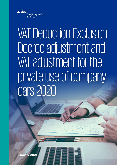

# VAT Deduction Exclusion Decree adjustment and VAT adjustment for the private use of company cars 2020

January 2021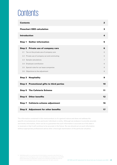# **Contents**

| $\overline{2}$<br><b>Contents</b>             |                |  |  |  |
|-----------------------------------------------|----------------|--|--|--|
| <b>Flowchart DED calculation</b>              | 3              |  |  |  |
| <b>Introduction</b>                           | 4              |  |  |  |
| <b>Gather information</b><br>Step 1           | 5              |  |  |  |
| Step 2 Private use of company cars            | 6              |  |  |  |
| Tax on the private use of company cars<br>2.1 | 6              |  |  |  |
| 2.2 Private use of company car and commuting  | 6              |  |  |  |
| 2.3 Sample calculations                       | $\overline{7}$ |  |  |  |
| 2.4 Employee contribution                     | 8              |  |  |  |
| 2.5 Special rules for car lease companies     | 8              |  |  |  |
| 2.6 Objections to the adjustment              | 8              |  |  |  |
| Step 3<br><b>Hospitality</b>                  | 9              |  |  |  |
| Step 4 Promotional gifts to third parties     | 10             |  |  |  |
| <b>Step 5 The Cafeteria Scheme</b>            | 11             |  |  |  |
| <b>Other benefits</b><br>Step 6               | 12             |  |  |  |
| Step 7 Cafeteria scheme adjustment            | 16             |  |  |  |
| <b>Step 8 Adjustment for other benefits</b>   | 17             |  |  |  |

The information contained in this memorandum is of a general nature and does not address the specific circumstances of any particular individual or entity. Although we endeavor to provide accurate and timely information, there can be no guarantee that such information is accurate as of the date it is received or that it will continue to be accurate in the future. No one should act on such information without appropriate professional advice after a thorough examination of the particular situation.

2020 Meijburg & Co is a partnership of limited liability companies under Dutch law, is © registered in the Trade Register under number 53753348 and a member firm of the KPMG global organization of independent member firms affiliated with KPMG International Limited, a private English company limited by guarantee. All rights reserved.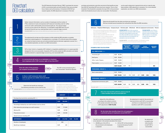The VAT Deduction Exclusion Decree ("DED") precludes the recovery of VAT on promotional gifts and staff benefits if they were provided free or below cost by the business. A threshold of EUR 227 per recipient applies. No DED adjustment is necessary if the total

purchase and production costs (the cost price) of the benefits are less than EUR 227 (excluding VAT) per annum per recipient. This is a final threshold: if the threshold is exceeded, the input VAT on the provisions within the threshold amount is also non-recoverable. This flowchart

can be used to determine in general terms and on a step-by-step basis whether a DED adjustment is necessary. For a more detailed explanation, we refer to our DED memorandum.

| Gather relevant information, such as number of employees (not the number of<br>FTEs), statement of costs and expenses staff restaurant (including costs for coffee<br>and tea for staff), staff benefits and promotional gifts etc. The relevant ledger                                           |                                      |                                                                                                                                                                                                   |            | Determine the benefit from the other provisions per employee.<br>We have included several examples (non-exhaustive) that affect the DED calculation                                                                                                                                                                                                                                                                                                                                                                                                              |                                                                                                                                       |              |                                                       |                                                                                                  |                                 |               |
|---------------------------------------------------------------------------------------------------------------------------------------------------------------------------------------------------------------------------------------------------------------------------------------------------|--------------------------------------|---------------------------------------------------------------------------------------------------------------------------------------------------------------------------------------------------|------------|------------------------------------------------------------------------------------------------------------------------------------------------------------------------------------------------------------------------------------------------------------------------------------------------------------------------------------------------------------------------------------------------------------------------------------------------------------------------------------------------------------------------------------------------------------------|---------------------------------------------------------------------------------------------------------------------------------------|--------------|-------------------------------------------------------|--------------------------------------------------------------------------------------------------|---------------------------------|---------------|
| accounts can be used for this. Moreover, it is advisable to label DED items as such                                                                                                                                                                                                               |                                      |                                                                                                                                                                                                   |            | Staff party - Telephone/Tablet/Laptop - Company bicycle - Christmas gifts - Gifts/Cards - Gifts for employment a                                                                                                                                                                                                                                                                                                                                                                                                                                                 |                                                                                                                                       |              |                                                       |                                                                                                  |                                 |               |
| during the financial year (e.g. entering these costs in a specific ledger account).<br><b>PLEASE NOTE:</b> these items can also affect the work-related costs rules ("WCR").<br>The adjustment for private use of the company car falls outside the DED calculation, as another                   |                                      |                                                                                                                                                                                                   |            | We recommend identifying which ledger accounts<br><b>PLEASE NOTE:</b> Due to the coronavirus<br>are relevant for the DED calculation and assigning<br>staff parties were canceled in 2020. However,<br>them to employee categories.<br>costs were often already incurred. How<br>There are many provisions that fall under the<br>this affects the DED calculation depends on<br>DED calculation, such as making company<br>the precise facts and circumstances. It is<br>accommodation available to employees, courses,<br>advisable to look into this further. |                                                                                                                                       |              |                                                       | <b>PLEASE N</b><br>(partial) pr<br>phone) a v<br><b>DED</b> calcul<br>to agree th<br>tax authori |                                 |               |
| adjustment method applies to it. The adjustment is, in principle, 2.7% of the list value of the company<br>car, unless the (lower) private use can be demonstrated based on kilometer registration records. For a<br>Company<br>more detailed explanation, we refer to our DED memorandum.<br>car |                                      | sport subscriptions etc. For a more detailed<br>(non-exhaustive) overview, we refer to our DED<br>memorandum. If you have doubts about a particular<br>cost item, please feel free to contact us. |            |                                                                                                                                                                                                                                                                                                                                                                                                                                                                                                                                                                  | <b>PLEASE NOTE::</b> for the DED calculation, it is advisable to div<br>staff into groups, as not all employees receive each benefit. |              |                                                       |                                                                                                  |                                 |               |
| VAT on food / drink (i.e. hospitality VAT) imbibed in a hospitality establishment or in a space specially                                                                                                                                                                                         |                                      |                                                                                                                                                                                                   |            | <b>EXAMPLE DED CALCULATION</b>                                                                                                                                                                                                                                                                                                                                                                                                                                                                                                                                   |                                                                                                                                       |              | <b>PROVISION</b><br><b>TO ALL</b><br><b>EMPLOYEES</b> | <b>PROVISION</b><br>TO PERSON.<br><b>GROUP</b>                                                   | <b>TOTAL</b><br><b>PROVISIO</b> |               |
| designed for this is not recoverable. Hospitality VAT thus falls outside the DED calculation and ideally<br>would be entered in a separate ledger account (e.g. non-recoverable VAT).                                                                                                             |                                      |                                                                                                                                                                                                   |            | <b>ALL EMPLOYEES (850)</b>                                                                                                                                                                                                                                                                                                                                                                                                                                                                                                                                       |                                                                                                                                       |              |                                                       |                                                                                                  |                                 |               |
| Hospitality                                                                                                                                                                                                                                                                                       |                                      |                                                                                                                                                                                                   |            | Christmas gift (purchase invoices)                                                                                                                                                                                                                                                                                                                                                                                                                                                                                                                               | EUR 46,750                                                                                                                            |              |                                                       |                                                                                                  |                                 |               |
|                                                                                                                                                                                                                                                                                                   |                                      |                                                                                                                                                                                                   |            | Staff party                                                                                                                                                                                                                                                                                                                                                                                                                                                                                                                                                      | EUR 25,000                                                                                                                            |              |                                                       |                                                                                                  |                                 |               |
| Is a promotional gift given to an individual or a business<br>(non-employee) with a VAT recovery right of less than 50%?                                                                                                                                                                          |                                      |                                                                                                                                                                                                   |            | Gifts / cards / flowers                                                                                                                                                                                                                                                                                                                                                                                                                                                                                                                                          | EUR 15,000                                                                                                                            |              |                                                       |                                                                                                  |                                 |               |
|                                                                                                                                                                                                                                                                                                   |                                      |                                                                                                                                                                                                   | <b>NO</b>  | Team events (excluding hospitality costs)                                                                                                                                                                                                                                                                                                                                                                                                                                                                                                                        | EUR 14,500                                                                                                                            |              |                                                       |                                                                                                  |                                 |               |
| Does the value of the provision                                                                                                                                                                                                                                                                   |                                      | The VAT on the promotional gift is                                                                                                                                                                |            |                                                                                                                                                                                                                                                                                                                                                                                                                                                                                                                                                                  | <b>EUR 101,250</b>                                                                                                                    |              | EUR<br>119                                            |                                                                                                  |                                 |               |
| $YES \rightarrow$<br>per recipient exceed EUR 227?                                                                                                                                                                                                                                                |                                      | non-recoverable / should be adjusted.                                                                                                                                                             |            | <b>PERSONNEL GROUP A (E.G. 180 SPORTERS)</b>                                                                                                                                                                                                                                                                                                                                                                                                                                                                                                                     |                                                                                                                                       |              |                                                       |                                                                                                  |                                 |               |
|                                                                                                                                                                                                                                                                                                   |                                      |                                                                                                                                                                                                   |            | Sport subscriptions                                                                                                                                                                                                                                                                                                                                                                                                                                                                                                                                              | EUR 75,000                                                                                                                            |              |                                                       |                                                                                                  |                                 |               |
| Is there a staff restaurant where staff                                                                                                                                                                                                                                                           |                                      |                                                                                                                                                                                                   |            |                                                                                                                                                                                                                                                                                                                                                                                                                                                                                                                                                                  | <b>EUR 75,000</b>                                                                                                                     | EUR          | 119                                                   | EUR<br>417                                                                                       | <b>EUR</b>                      |               |
| (and any guests) can imbibe food and drink?<br>PLEASE NOTE: coffee from a vending machine or soft drinks from a fridge also qualify as 'staff restaurant                                                                                                                                          |                                      |                                                                                                                                                                                                   |            | <b>PERSONNEL GROUP B</b> (E.G. 25 EMPLOYEES CELEBRATING AN EMPLOYMENT ANNIVERSARY)                                                                                                                                                                                                                                                                                                                                                                                                                                                                               |                                                                                                                                       |              |                                                       |                                                                                                  |                                 |               |
|                                                                                                                                                                                                                                                                                                   |                                      |                                                                                                                                                                                                   | <b>NO</b>  | Employment anniversary gifts                                                                                                                                                                                                                                                                                                                                                                                                                                                                                                                                     | EUR 20,000                                                                                                                            |              |                                                       |                                                                                                  |                                 |               |
| Determine the benefit per employee.                                                                                                                                                                                                                                                               | With regard to the cafeteria scheme, | a comparison must be made between the                                                                                                                                                             |            |                                                                                                                                                                                                                                                                                                                                                                                                                                                                                                                                                                  | <b>EUR 20,000</b>                                                                                                                     | EUR          | 119                                                   | <b>EUR</b><br>800                                                                                | EUR                             |               |
| The following calculation can be used for this.                                                                                                                                                                                                                                                   |                                      | theoretical turnover (what the turnover should                                                                                                                                                    |            | PLEASE NOTE: This is an example and therefore is not suitable for each situation.                                                                                                                                                                                                                                                                                                                                                                                                                                                                                |                                                                                                                                       |              |                                                       |                                                                                                  |                                 |               |
| PLEASE NOTE: this is an example and therefore is not suitable for each situation.                                                                                                                                                                                                                 |                                      | have been based on a 25% markup) and the<br>actual turnover. Visitors may be disregarded.                                                                                                         |            | Does the total benefit (cafeteria scheme (step 5)                                                                                                                                                                                                                                                                                                                                                                                                                                                                                                                |                                                                                                                                       |              |                                                       |                                                                                                  |                                 |               |
|                                                                                                                                                                                                                                                                                                   | <b>AMOUNT</b>                        | <b>VAT</b>                                                                                                                                                                                        |            | + other benefits (step 6)) exceed EUR 227?                                                                                                                                                                                                                                                                                                                                                                                                                                                                                                                       |                                                                                                                                       |              |                                                       |                                                                                                  |                                 |               |
| Purchase food and drink, excluding VAT (9%)                                                                                                                                                                                                                                                       | <b>EUR</b><br>180,000                |                                                                                                                                                                                                   | <b>YES</b> | Adjust 9% of the difference                                                                                                                                                                                                                                                                                                                                                                                                                                                                                                                                      |                                                                                                                                       |              |                                                       | No adjustment is made for the p                                                                  |                                 |               |
| <b>TOTAL</b>                                                                                                                                                                                                                                                                                      | 180,000<br><b>EUR</b>                |                                                                                                                                                                                                   |            | according to the cafeteria scheme.                                                                                                                                                                                                                                                                                                                                                                                                                                                                                                                               |                                                                                                                                       |              |                                                       | food and drink to staff (VAT is re                                                               |                                 |               |
| Percentage imbibed by non-staff members such as clients                                                                                                                                                                                                                                           | 5%                                   |                                                                                                                                                                                                   |            | In the sample calculation this means<br>a VAT adjustment of EUR 19,238.                                                                                                                                                                                                                                                                                                                                                                                                                                                                                          |                                                                                                                                       |              |                                                       | and there is no adjustment fo<br>benefits to staff (VAT is recov                                 |                                 |               |
| After deduction percentage non-staff members                                                                                                                                                                                                                                                      | <b>EUR</b><br>171,000                |                                                                                                                                                                                                   |            |                                                                                                                                                                                                                                                                                                                                                                                                                                                                                                                                                                  |                                                                                                                                       |              |                                                       |                                                                                                  |                                 |               |
| Markup 25%                                                                                                                                                                                                                                                                                        | <b>EUR</b>                           | 42,750                                                                                                                                                                                            |            | Do the total other benefits (step 6) for all employees /                                                                                                                                                                                                                                                                                                                                                                                                                                                                                                         |                                                                                                                                       |              |                                                       |                                                                                                  |                                 |               |
| Theoretical turnover                                                                                                                                                                                                                                                                              | <b>EUR</b><br>213,750                |                                                                                                                                                                                                   |            | a particular group of employees exceed EUR 227?                                                                                                                                                                                                                                                                                                                                                                                                                                                                                                                  |                                                                                                                                       |              |                                                       |                                                                                                  |                                 |               |
| Actual turnover including VAT                                                                                                                                                                                                                                                                     | <b>EUR</b>                           |                                                                                                                                                                                                   | <b>YES</b> |                                                                                                                                                                                                                                                                                                                                                                                                                                                                                                                                                                  |                                                                                                                                       |              |                                                       |                                                                                                  |                                 |               |
| <b>DIFFERENCE</b>                                                                                                                                                                                                                                                                                 | 213,750<br><b>EUR</b>                | <b>EUR</b> 19,238                                                                                                                                                                                 |            | The VAT is not fully recoverable / the recovered VAT has                                                                                                                                                                                                                                                                                                                                                                                                                                                                                                         |                                                                                                                                       |              |                                                       |                                                                                                  |                                 | No a          |
| Number of employees                                                                                                                                                                                                                                                                               | 850                                  |                                                                                                                                                                                                   |            | to be adjusted. In the sample calculation this means:<br>1. 205/850 part of the VAT on                                                                                                                                                                                                                                                                                                                                                                                                                                                                           |                                                                                                                                       |              | 2. All the VAT on the provisions                      |                                                                                                  |                                 | is ma<br>othe |
| Benefit per employee                                                                                                                                                                                                                                                                              | <b>EUR</b>                           | 251                                                                                                                                                                                               |            | the provisions to all employees                                                                                                                                                                                                                                                                                                                                                                                                                                                                                                                                  |                                                                                                                                       |              | to personnel group A and B                            |                                                                                                  |                                 | to sta        |
|                                                                                                                                                                                                                                                                                                   |                                      |                                                                                                                                                                                                   |            | is adjusted.                                                                                                                                                                                                                                                                                                                                                                                                                                                                                                                                                     |                                                                                                                                       | is adjusted. |                                                       |                                                                                                  |                                 | reco          |

# **Flowchart** DED calculation

YES

 $\rightarrow$ 

YES

NO

NO



adjustment is made for the provision of od and drink to staff (VAT is recoverable) and there is no adjustment for other benefits to staff (VAT is recoverable).

No adjustment is made for the other benefits to staff (VAT is recoverable).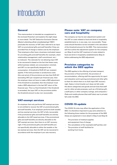# Introduction

#### General

This memorandum is intended as a supplement to the enclosed flowchart and explains the eight steps in more detail. The VAT Deduction Exclusion Decree (*Besluit uitsluiting aftrek omzetbelasting*) ('DED') precludes the recovery of VAT (also referred to as input VAT) on promotional gifts and staff benefits if they are provided free of charge or below cost by the employer. That employers often have a business-motivated reason for providing gifts and staff benefits (for example, client relationship management, staff commitment, etc.) is irrelevant. The rationale for not allowing input VAT to be recovered is based on the fact that these costs, while business-related, are consumption-oriented, and VAT is a tax specifically designed to tax consumption. A threshold of EUR 227 per recipient applies. If the total purchase or productions costs (the cost price) of the provisions are less than EUR 227 (excluding VAT) per recipient per financial year, then the employer does not have to make a DED adjustment. If the threshold is exceeded, then the employer must make a DED adjustment in the last VAT return of the financial year. This is a final threshold: if the threshold is exceeded, the input VAT on the provisions within the threshold amount is also non-recoverable.

#### VAT-exempt services

An employer that only performs VAT-exempt services is not entitled to recover the VAT on promotional gifts and staff benefits. If an employer performs both taxable and tax-exempt services, the VAT is fully recoverable if the promotional gifts and staff benefits are entirely allocable to the VAT-taxed services. If the promotional gifts and staff benefits are directly allocable to the VAT-exempt services, then there is no VAT recovery right. If the promotional gifts and staff benefits are not specifically allocable to either the taxable or the tax-exempt services, then the VAT can be recovered in accordance with the employer's pro rata recovery.

#### Please note: VAT on company cars and hospitality

The company car has its own adjustment system and the VAT on costs related to food and drink in hospitality establishments is, in any case, non-recoverable. These costs should therefore not be included in the calculation of the threshold amount for the DED. This memorandum will first outline the adjustment system for the company car (Step 2) and the VAT treatment of costs related to food and drink in hospitality establishments (Step 3) before addressing the DED adjustment.

#### Provision categories to which the DED applies

The DED applies to the offering of private transport, the provision of food and drink, the provision of accommodation, offering staff the opportunity for sport and relaxation and to giving promotional and other gifts to them for which there is no (full) input VAT recovery right. Salary in kind (insofar as it does not fall under the above categories) and goods and services that staff use for other private purposes, such as a Christmas gift, a staff party or other company outings, and computers / iPads and mobile phones (that staff (also) use in private) fall under the DED.

#### COVID-19-update

The COVID-19 crisis may affect the application of the DED. It is therefore important to pay extra attention to the following three matters for the purposes of the DED (these are explained in more detail in Step 4 and Step 6):

- The provision of medical supplies and equipment free of charge;
- The cancellation of (for example) staff parties; and
- The provision of staff facilities for working from home.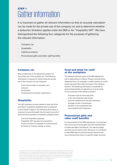# STEP 1 Gather information

It is important to gather all relevant information so that an accurate calculation can be made for the private use of the company car and to determine whether a deduction limitation applies under the DED or for "hospitality VAT". We have distinguished the following four categories for the purposes of gathering the relevant information:

- Company car
- **Hospitality**
- Cafeteria scheme
- Promotional gifts and other staff benefits

#### Company car

Step 2 elaborates on the adjustment system for the private use of the company car. The following information is relevant for determining the private use of the company car per employee:

- A list of the number of company cars<sup>1</sup>
- List price
- Period used
- Comprehensive kilometer registration<sup>2</sup>

#### **Hospitality**

The VAT treatment of costs related to food and drink provided in hospitality establishments is explained in more detail in Step 3. The following information is important to provide insight into the costs incurred for food and drink provided in hospitality establishments:

- List of all hospitality expenses
- Hospitality VAT may also be concealed in certain invoices, for example in invoices issued by hotels or invoices relating to events.

#### Food and drink for staff at the workplace

The cafeteria scheme is part of the DED adjustment and is elaborated on in Step 5. Please note that drinks dispensed from, for example, a coffee machine in a staff social area also falls under the scope of the cafeteria scheme. The following information is essential for determining whether an adjustment must be made for the purposes of the cafeteria scheme:

- Purchase costs for food and drink or the raw materials used therein
- Turnover realized from the staff restaurant
- Average number of employees
- Number of non-employees that have used the staff restaurant

#### Promotional gifts and other staff benefits

For the purposes of the DED adjustment, it is important that a list of promotional gifts and other staff benefits is made (see Step 4 and Step 6). The relevant ledger accounts can be used for this. Moreover, it is advisable to label DED items as such during the financial year (e.g. entering these costs in a specific ledger account).

<sup>1</sup> Company cars must also be included if employees have signed a Statement of No Private Use of Company Car for the purposes of payroll tax and social security contributions. Due to the difference between payroll tax and social security contributions and VAT, a Statement of No Private Use of Company Car for the purposes of payroll tax and social security contributions does not automatically mean there will be no adjustment for private use for VAT purposes.

A comprehensive kilometer registration is only relevant if the adjustment is made on the basis of actual use (see Step 2).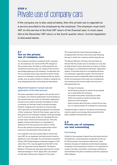# STEP 2 Private use of company cars

If the company car is also used privately, then this private use is regarded as a service provided to the employee by the employer. The employer must remit VAT on this service in the final VAT return of the financial year, in most cases this is the December VAT return or the fourth quarter return. Current legislation is discussed below.

#### 2.1 Tax on the private use of company cars

If an employer provides an employee with a company car, the employer can recover all the VAT charged on the purchase costs, the lease or rental payments, the maintenance and fuel costs, etc. based on the recovery percentage applying to the employer. If employees use the car privately, this private use will be taxed. Private use can, for example, involve situations that are clearly private, such as visits to family or friends or using the car to go shopping (but also commuting; see also below).

#### Adjustment based on actual use and application of the fixed amount

The basic assumption with regard to the private use of a company car is that the adjustment must be based on the actual private use of the car. Kilometer registration records can be used to ascertain the degree to which a company car has been used for private purposes. However, keeping such records is an onerous task, and is generally not something employers can demand of their employees. Partly for that reason, approval has been given for the employer to apply a fixed percentage of 2.7% of the list value of the car, including VAT and private motor vehicle and motorcycle tax. This only applies in those cases where it is impossible to determine from the accounts the extent to which the car was used for private purposes and/or which costs are to be allocated to this private use.

If an employer only has a partial right to recover the input VAT on car expenses, the fixed amount must be applied on a pro rata basis. If a car has been purchased without VAT being charged, a fixed percentage of 1.5%, rather than 2.7%, may be applied and the VAT on the other car expenses may be deducted. The Deputy Minister of Finance has also given approval for a lower fixed percentage of 1.5% to apply after a purchased car has been used by the company for five years.

This means that the lower fixed percentage can be applied after the end of the fourth year following the year in which the company started using the car.

The Deputy Minister of Finance has laid down by Decree that the private use of a company car may also be determined in other ways than by means of a fixed percentage or a comprehensive kilometer registration system. If the fixed amount is not applied and there is no kilometer registration system, then the level of private use must be realistically determined taking all the circumstances of the case into consideration. Circumstances that must be taken into account in this assessment are:

- the type of company;
- the business purposes for which the purchased car is used within the company;
- the position the person using the car holds within the company and the activities they perform for the company;
- what is known about the way in which the car may be or is used privately, for example for commuting.

If statistical data is relied on, the above circumstances must be used to convincingly demonstrate that this data is usable in the particular case.

#### 2.2 Private use of company car and commuting

#### **Commuting**

Unlike for the purposes of payroll tax and social security contributions, commuting also constitutes private use for VAT purposes. Commuting is defined as: travel between the place of residence and the fixed workplace as agreed in the employment contract. If no employment contract has been concluded, commuting is defined as travel between the place of residence and the company's office address.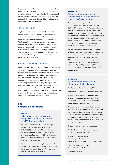Please note: due to the difference between payroll tax and social security contributions and VAT, a Statement of No Private Use of Company Car for the purposes of payroll tax and social security contributions does not automatically mean that there will be no adjustment for private use for VAT purposes.

#### Peripatetic employees

Employees with no fixed workplace (peripatetic employees) are only considered to commute if this involves driving from their home to a fixed (agreed upon) business address belonging to the employer. The fixed adjustment for peripatetic employees will therefore often be too high. However, no separate approval has been given for peripatetic employees. In this context, we recommend that you contact your advisor to see which options may be available to reduce the fixed adjustment / calculate the adjustment in another way.

#### Employees who only commute

If the company car is only used privately for commuting, which is, for example, often the case with a delivery van driven by non-peripatetic employees, tax relief for the administrative burden is available. In such situations, the employer can determine the actual use by multiplying the commuted distance by the number of commutes per year, and deducting this figure from the total kilometers driven in a year. The annual number of working days can be taken as 214. The 214 working days may be applied on a proportionate basis if the workweek is less than five days or if the employment relationship began or ended during the calendar year.

#### 2.3 Sample calculations

#### EXAMPLE 1:

#### Adjustment for private use of a company car at an employer with a full VAT recovery right

An employer with a full VAT recovery right makes a company car with a list price of EUR 50,000 (inclusive of VAT and private motor vehicle and motorcycle tax) available to an employee as of January 1, 2020. No kilometer registration records are kept and no contribution is asked of the employee.

For the sake of convenience, the benefit for VAT purposes has been calculated using 2.7% of the list price on an annual basis. VAT amounting to EUR 1,350 (2.7% of EUR 50,000)

#### EXAMPLE 2:

#### Adjustment for private use of a company car at an employer with a partial VAT recovery right

An employer with a partial VAT recovery right makes a company car with a list price of EUR 50,000 (inclusive of VAT and private motor vehicle and motorcycle tax) available to an employee as of January 1, 2020. No kilometer registration records are kept and no contribution is asked of the employee. The expenses attributable to the car in that year amount to EUR 10,000 excluding VAT. The employer is entitled to recover 40% of the input VAT.

For the sake of convenience, the benefit for VAT purposes has been calculated using 2.7% of the list price on an annual basis. In this situation, there is a partial VAT recovery right. 40% of the input tax on the car expenses may be recovered. In addition, VAT amounting to EUR 540 (40% of 2.7% of EUR 50,000) must be remitted in respect of the private use of the company car.

#### EXAMPLE 3: Adjustment for private use that differs from the fixed amount

The list price of a car is EUR 35,000

The annual VAT on the car expenses is EUR 2,500.

The car is used by a representative who, on average, uses the car once a week to travel directly from his home to the office (approximately 46 times per year).

The representative signed a Statement of No Private Use of Company Car for payroll tax purposes and does not travel privately more than 500 kilometers per year (commuting does not qualify as private use for payroll tax and social security contributions purposes; it does for VAT purposes).

The commute is 30 kilometers per day

The total number of kilometers traveled on an annual basis is 60,000

The VAT adjustment based on actual private use is then  $((46 \times 30 + 500) / 60,000) \times$  EUR 2,500 = EUR 78

Fixed VAT adjustment paid:  $2.7\% \times 35,000 = EUR 945$ 

Difference: EUR 867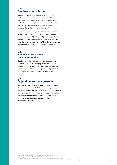#### 2.4 Employee contribution

If the employer asks an employee to contribute to the private use of the company car, the VAT on this contribution must be remitted to the Dutch tax authorities.<sup>3</sup> If the employee contribution is less than the standard value of the item made available, VAT must be charged on this 'standard value'.

The standard value may often be difficult to determine in practice and therefore the fixed rate or the lower fixed rate is applied (2.7% or 1.5%). However, if the VAT on the employee contribution is higher than the fixed rate, the employer must remit VAT on the full employee contribution. The fixed amount does not apply then.

#### 2.5 Special rules for car lease companies

Employees or the proprietor of a car lease company sometimes use cars belonging to the company for private purposes. An approval has been given for these situations, whereby a non-weighted average list price can be used as the list price for the taxable base.

#### 2.6 Objections to the adjustment

It can be worthwhile to file a notice of objection against the payment of a reported VAT adjustment, provided this lower adjustment can be substantiated. If a comprehensive kilometer registration system is not used, then for the purposes of determining the level of private use all circumstances of the case should be taken into account (see also section 2.1).

 $3$  At the time of publication of this memorandum (Autumn 2020) a case is pending at the Court of Justice of the European Union, which may be relevant if employers ask their frontier workers to contribute to the private use of the company car. In such cases, we recommend that you contact your advisor.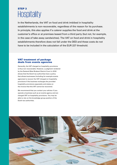# STEP 3 **Hospitality**

In the Netherlands, the VAT on food and drink imbibed in hospitality establishments is non-recoverable, regardless of the reason for its purchase. In principle, this also applies if a caterer supplies the food and drink at the customer's office or at premises leased from a third party (but not, for example, in the case of take-away sandwiches). The VAT on food and drink in hospitality establishments therefore does not fall under the DED and these costs do not have to be included in the calculation of the EUR 227 threshold.

#### VAT treatment of package deals from events agencies

Generally, the VAT charged on hospitality provisions is thus non-recoverable. However, a judgment rendered by the Zeeland-West Brabant District Court in 2018 shows that the Dutch tax authorities have a policy that allows businesses (including for example events agencies) to recover the VAT charged on hospitality provisions if the business recharges the provided hospitality provisions separately and states on the invoice that this VAT cannot be recovered.

We recommend that you contact your advisor if you operate a business such as an events agency and are charged VAT on hospitality provisions. You may be able to rely on the knowledge group position of the Dutch tax authorities.

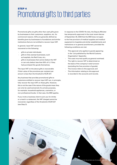# STEP 4 Promotional gifts to third parties

Promotional gifts are gifts other than cash gifts given by businesses to their customers, suppliers, etc. for commercial reasons. Gifts are generally defined as benefits given by businesses to foundations and similar institutions that are not entitled to recover input VAT.

In general, input VAT cannot be recovered on the following:

- gifts to private individuals;
- gifts to fully exempt businesses, such as hospitals, the Red Cross, etc.;
- gifts to businesses that cannot deduct the VAT or can only deduct less than 50% of it, if they had purchased the goods themselves.

The input VAT on the above gifts is recoverable if their value of the provisions per recipient per annum is less than the threshold of EUR 227.

Any business that provides promotional gifts to customers entitled to recover input VAT can, in principle, fully recover the input VAT on these gifts. However, this is not the case if the nature of the goods mean they can only be used exclusively for private purposes, for example, household appliances, cosmetics, or non-professional books. In that case, the DED applies.

If you invite a business client to join you for drinks or a meal in a restaurant, the VAT charged cannot be recovered, regardless of the threshold of EUR 227 (see Step 3).

In response to the COVID-19 crisis, the Deputy Minister has temporarily approved in the most recent decree of September 29, 2020 that the DED does not apply to the free provision of medical supplies and medical equipment to hospitals and similar establishments and institutions or to general practitioners, provided the following conditions are met:

- This approval only applies to goods appearing in the 'List published by the World Customs Organization' Appendix;
- The costs incurred qualify as general overhead;
- The right to recover VAT is determined on the basis of the company's total turnover (excluding the free provision of goods);
- The invoice refers to this approval; and
- The information relating to this approval is recorded in the accounts and records.

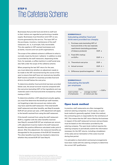## STEP 5 The Cafeteria Scheme

Businesses that provide food and drink to staff and to their visitors are regarded as performing a taxable supply. Businesses must therefore remit VAT on any income generated by this service. The input VAT on the purchases, inventory, maintenance of the staff restaurant, etc. is, in principle, fully recoverable. This also applies to VAT-exempt businesses such as banks, insurers and non-profit organizations.

The scope of the cafeteria scheme is different to what is normally meant by the term 'cafeteria'. In addition to what is provided by the staff restaurant, dispensing drinks from, for example, a coffee machine in a staff social area also falls under the scope of the cafeteria scheme.

When preparing the last VAT return for the year, you must determine whether an adjustment needs to be made to the VAT recovered during the course of the year to ensure that staff have not received any benefits. Staff receive a benefit if a business provides food and drink to its staff below the cost price.

To determine whether food and drink has been provided below cost, the actual turnover must be compared with the cost price (excluding VAT) of the ingredients and raw materials used in the food and drink increased by a fixed markup of 25%.4

To determine whether a VAT adjustment actually applies, you must first determine the benefit per staff member, not forgetting to take into account any visitors who may have used the staff restaurant. If the total benefit (staff restaurant and other benefits, see Step 6) exceeds EUR 227 per person per year, a VAT adjustment will apply to the benefit received from using the staff restaurant.

If the benefit received from using the staff restaurant (EUR x), together with the other benefits received (see Step 6), exceeds EUR 227 per employee per annum, a 9% adjustment must be made to the staff restaurant benefits (the positive difference calculated under point 5 above). After this adjustment, the restaurant benefits are disregarded for the purposes of the EUR 227 threshold. The other benefits must then be checked to determine whether they exceed EUR 227 (see Step 6).

#### SCHEMATICALLY-Calculating whether food and drink were provided too cheaply

| 1. | Purchase costs (excluding VAT) of<br>food and drink or the raw materials<br>used therein (excluding purchases |             |    |  |  |
|----|---------------------------------------------------------------------------------------------------------------|-------------|----|--|--|
|    | of tobacco products)                                                                                          | EUR a       |    |  |  |
|    | 2. Fixed 25% markup                                                                                           |             |    |  |  |
|    | on FUR a                                                                                                      | FUR $h +$   |    |  |  |
|    | 3. Theoretical cost price                                                                                     | EUR c       |    |  |  |
|    | 4. Actual turnover                                                                                            | EUR d $-/-$ |    |  |  |
|    | 5. Difference (positive/negative)                                                                             | FUR         | e. |  |  |

#### SCHEMATICALLY: Calculating the benefit per employee EUR e = EUR <sup>x</sup>

| total number<br>of employees | average number<br>of visitors per day | $=$ EUR $x$ |
|------------------------------|---------------------------------------|-------------|
|                              |                                       |             |

#### Open book method

In practice, staff restaurants are often managed by external catering companies. In such cases, an open book method is generally applied. Under this method, the contracting party is responsible for the remittance of VAT. This means that the VAT return filed by the business in respect of the staff restaurant turnover and purchases must be based on the information provided by the catering company. The open book method requires the catering company to periodically submit the information necessary for the VAT returns, including a breakdown of the sales and an itemization of the costs incurred during that period.

It is advisable to check which contractual arrangements have been made with the catering company to determine the correct VAT qualification.

<sup>4</sup> Only the ingredients and raw materials have to be included for the purposes of the 25% markup increase. This fixed 25% markup is intended to cover the costs of the stock used by the business to prepare the food and drink and/or to serve it, such as kitchen appliances and china.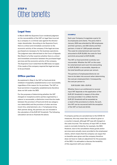# STEP 6 Other benefits

#### Legal fees

In March 2020 the Supreme Court rendered judgment on the recoverability of the VAT on legal fees incurred by a company in a criminal case against the directormajor shareholder. According to the Supreme Court, there is a direct and immediate connection to the economic activity of the company if the legal services purchased are necessary for the business operations. The judgment was referred back to the Court of Appeals Den Bosch to further examine whether there is a direct and immediate connection between the purchased legal services and the economic activity of the company. The Supreme Court noted that the DED does not apply if the needs of the company required the legal services to be purchased.

#### Office parties

As explained in Step 3, the VAT on food and drink imbibed in hospitality establishments is non-recoverable, regardless of the reason for its purchase. The VAT on food and drink in hospitality establishments therefore does not fall under the DED.

For the purposes of determining whether the VAT charged on receptions and/or parties organized by a caterer is recoverable, a distinction must thus be made between the provision of food and drink (as category non-deductible) and the provision of other services (room hire, entertainment, etc.). If employees bring their partner along, the partners are not included in the calculation of the EUR 227 threshold. The following calculation serves to illustrate the above.

#### EXAMPLE

Each year Company A organizes a party for its employees and clients. The party held in January 2020 was attended by 300 employees and their partners, and 200 clients and their partners. A total of 1,000 people attended. The costs for entertainment and room hire amounted to EUR 25,000; the costs for food and drink amounted to EUR 40,000.

The VAT on food and drink is entirely nonrecoverable. Whether the VAT on the costs for entertainment and room hire (amounting to EUR 25,000) is recoverable, depends on the total benefits per person per annum.

The partners of employees/clients do not have to be taken into account when determining the cost per employee/client. Consequently, the cost per person is:

EUR 25,000 / 500 = EUR 50

Whether there is an entitlement to recover input VAT depends on the application of the EUR 227 threshold in respect of the other services provided. It is unlikely that the EUR 227 threshold will be exceeded as a result of the provisions to clients. As such, this VAT can be recovered (with the exception of the VAT on food and drink).

If company parties are canceled due to the COVID-19 measures, this may mean that no refund is given or a voucher is issued, although VAT was still charged on the costs incurred. The recovery of input VAT on these costs is normally limited by, for example, the DED. However, due to the cancellation these goods and/or services were actually never provided to the employees/ clients, which means that the company can argue that no benefits were given and the company therefore does not have to make an adjustment for the purposes of the DED. It is advisable to discuss the tenability of this argument with your advisor.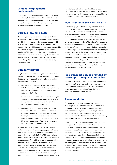#### Gifts for employment anniversaries

Gifts given to employees celebrating an employment anniversary fall under the DED. This means that the input VAT on the purchase of the gifts is recoverable, unless the total benefit for the employee in question exceeds EUR 227 in the anniversary year.

#### Courses / training costs

An employer that pays for courses for its staff can, in principle, recover any VAT charged on these courses, provided the courses are relevant to the position held, or to be held, by the employee in the company. VAT on, for example, a car skid control course, is non-recoverable as this cost is regarded as a private matter for the employee. This may not be the case for a business where driving proficiency is an occupational necessity, for example, a taxi company. Please note that VAT is not charged on a large number of (professional) courses on offer.

#### Company bicycle

Employers who provide employees with a bicycle can recover the VAT on the bicycle if they can demonstrate that the bicycle was made available for commuting purposes and insofar as:

- the bicycle's purchase price does not exceed EUR 749 (including VAT), or if the bicycle is leased, the total cost (including VAT) of the lease does not exceed EUR 749;
- a bicycle was not made available to the employee or the employee was not provided with a bicycle during the calendar year in question and the two preceding calendar years; and
- from the moment the bicycle was provided or made available until the end of the calendar year and in each of the two following calendar years, the employee received an allowance or was provided with a means of transport other than a bicycle, which covered 50% or more of the number of days on which the employee commuted.

An approval has been given that the VAT can also be fully recovered if the employee pays a contribution toward the bicycle, so that the maximum net amount paid by the employer is EUR 749. This approval also applies if the bicycle is leased. However, the employer must pay the VAT payable on the employee contribution. If the employer contributes more than EUR 749 (including VAT), then the VAT on the excess is nonrecoverable. The employer can therefore recover a maximum net amount of EUR 130. Businesses that perform exempt services and do not ask the employee for a contribution, or only require the employee to make

a symbolic contribution, are not entitled to recover VAT on purchased bicycles. For practical reasons, it has been approved that the bicycle may also be used by the employee for private purposes other than commuting.

#### Payroll tax and social security contributions

As of January 1, 2020 the following rule applies to the addition to income for tax purposes for the company bicycle. For the private use of the (leased) company bicycle made available to an employee, a fixed addition to income of 7% of the value of the bicycle applies. The rule not only applies to ordinary bicycles, but also to e-bikes or speed pedelecs. The value of the bicycle is the Dutch recommended retail price publicly announced by the manufacturer or importer, including accessories and including VAT. If the employer charges the employee for the private use of the bicycle, this may be deducted from the addition to income, although the net result cannot be negative. If the bicycle was also made available for commuting, it will be considered to have also been made available for private use. In practical terms, this means that the 7% addition to income will therefore almost always apply.

#### Free transport passes provided by passenger transport companies

Transport passes that passenger transport companies provide to staff (and their family members) for free or at reduced rates fall under the DED. Free transport passes provided to retired staff (and their family members) do not fall under the DED.

#### Accommodation

If an employer provides company accommodation to an employee or rents accommodation and allows an employee to live in it free of charge or at a low rent, then the employer cannot, in principle, recover the VAT charged on the costs incurred for this (for example, a specialized agency that acts as intermediary, maintenance costs for the accommodation, etc.).

In November 2020 the Supreme Court reaffirmed the above; only if, in the interests of the business, the employer is obliged to pay accommodation costs (for example because the employer cannot recruit any domestic temporary workers and foreign workers will not come to the Netherlands if accommodation is not arranged), is the VAT on accommodation recoverable, because then there is a special circumstance that forces the employer to incur such costs in the interests of the business. The business interests of the employer thus carry more weight than the private interests of the temporary workers.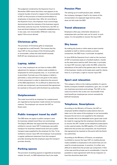The judgment rendered by the Supreme Court in November 2020 means that there now appears to be a heavier burden of proof in respect of the recoverability of VAT on the provision of hotel accommodation to employees on business trips. After all, according to the Supreme Court, the employer must convincingly demonstrate that the interests of the business require that these costs be incurred. Furthermore, the VAT on food and drink imbibed in a hospitality establishment is, in any case, non-recoverable. Different rules may apply if this occurs abroad.

#### Christmas gifts

The provision of Christmas gifts to employees is regarded as a staff benefit. This means that the input VAT on the purchase of the Christmas gifts is recoverable, unless the total benefit exceeds EUR 227 per employee per annum.

#### Laptop, tablet

In our view, employers do not have to make a DED adjustment for laptops or tablets made available to employees for work purposes only, i.e. no private use is permitted. If private use of the laptop or tablet is permitted, a value will have to be given to the salary in kind component in order to determine the amount of the DED adjustment. If it is difficult to determine the private use component, we recommend that agreement be reached on this point with the Dutch tax authorities.

#### **Outplacement**

The costs incurred by an employer for outplacement are regarded as having been made entirely for business reasons. The employer can recover the VAT on these costs.

#### Public transport travel by staff

The DED does not apply to public transport used for business-related travel (thus not commuting). The Deputy Minister has approved that employers are entitled to recover input VAT if employees use public transport for business-related travel and use a public transport pass supplied by the employer for this. To be entitled to recover input VAT, the employer must possess a regular settlement statement from the transport provider showing that the employer pays the transport provider directly.

#### Parking spaces

The provision of parking spaces is regarded as businessrelated. As such, no DED adjustment has to be made.

#### Pension Plan

The setting up of a staff pension plan, whether the company manages it itself or by means of the incorporation of a separate legal and tax entity, does not fall under the DED.

#### Travel allowance

Employers often pay a kilometer allowance to employees who use their own car for work. In such cases, it is not possible to recover the input VAT.

#### Sky boxes

As making sky boxes or other seats at sport events available to staff or clients contains a private component, the DED must, in principle, be applied.

In June 2018 the Supreme Court ruled on the recovery of VAT on business seats at a football stadium. Insofar as the seats were used by staff, there was, in principle, no input VAT recovery right under the DED, unless the attendance of the staff at the games was in the interests of the business. Insofar as the seats were used for clients, there is, in principle, a right to recover input VAT.

#### Sport and relaxation

This category refers to the making available of a sports facility (company football competition, gym, etc.) or staff non-business excursions and outings. The VAT on the costs incurred for this is also non-recoverable if the total benefit per employee per annum exceeds the EUR 227 threshold.

#### Telephone, Smartphone

According to the Ministry of Finance, the VAT on employee landline telephone subscriptions that are taken out in the name of the employer is not recoverable, because the service is not supplied to the employer. We consider this to be debatable and a good case could be made for arguing that the employer should be able to recover the VAT. Insofar as the telephone subscription is also used privately, the DED applies. If it is difficult to determine the private use component, we recommend that agreement be reached on this point with the Dutch tax authorities.

According to the Ministry of Finance, an employer is entitled to recover the input VAT on mobile phones made available to employees to the extent they are not used for private purposes. In practice, it is often very difficult to determine the private use component. If this is the case and the private use is considerable, it may be possible to reach agreement with the tax inspector on how this should be dealt with.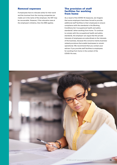#### Removal expenses

If employees have to relocate solely for their work and the invoices from the moving companies are made out in the name of the employer, the VAT may be recoverable. However, if the relocation was at the employee's initiative, then the DED applies.

#### The provision of staff facilities for working from home

As a result of the COVID-19 measures, we imagine that some employers have been forced to provide additional staff facilities to their employees to ensure compliance with the standards in the Working Conditions Act ('occupational health and safety standards') when working from home. To continue to comply with the occupational health and safety standards, the employer can argue that the private interests of employees are subordinate to the interests of the business, because this concerns mainly businessrelated provisions that enable businesses to remain operational. We recommend that you contact your advisor if you provide staff facilities to employees for working from home in the context of the COVID-19 crisis.

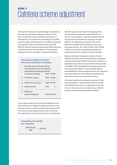# STEP 7 Cafeteria scheme adjustment

The flowchart outlines the methodology of adjustments that may be made when making provisions to staff. Step 7 and Step 8 further explain the calculations in the flowchart. In line with the methodology of the DED, what first needs to be determined is whether the benefit per employee under the cafeteria scheme exceeds EUR 227. We have used the example with 850 employees in the flowchart for the calculations. The theoretical background to this calculation is explained in Step 5.

#### Calculating whether food and drink were provided too cheaply

| 1. | Purchase costs (excluding VAT) of   |     |                |        |  |
|----|-------------------------------------|-----|----------------|--------|--|
|    | food and drink or the raw materials |     |                |        |  |
|    | used therein (excluding purchases   |     |                |        |  |
|    | of tobacco products)                |     | EUR 171,000    |        |  |
|    | 2. Fixed 25% markup                 |     | EUR $42.750 +$ |        |  |
|    | 3. Theoretical cost price           |     | EUR 213,750    |        |  |
|    | 4. Actual turnover                  | FUR |                | $0 -1$ |  |
| 5. | Difference<br>(positive/negative)   |     | EUR 213,750    |        |  |

The purchase costs for food and drink imbibed by nonstaff members fall outside the cafeteria scheme. In the flowchart we have used as example a percentage of 5%. In practice, the percentage may be more or less than this, depending on the precise facts and circumstances.

#### Calculating the benefit per employee

 $EUR 213,750 = EUR 251$ 850

The VAT recovered will have to be adjusted if the total benefit per employee exceeds EUR 227 per annum. In the example, it has been established that the food and drink benefit per employee exceeds EUR 227. The adjustment amounts to 9% of the difference between the theoretical turnover and the actual turnover: 9% x EUR 213,750 = EUR 19,238. In Step 8 it must then be established whether an adjustment has to be made for the other benefits.

Based on the above calculation method, it is also possible that the food and drink benefit per employee amounts to less than EUR 227 per annum. However, an adjustment may still have to be made for the purposes of the DED. If the total benefit per employee (provision of food and drink (Step 5) + other benefits (Step 6) exceeds EUR 227, then the adjustment for the restaurant provisions will be 9% of the difference between the theoretical turnover and the actual turnover.

If the total benefits per employee (provision of food and drink (Step 5) + other benefits (Step 6)) are less than EUR 227 per annum, no adjustment has to be made. In that case, you do not have to go to Step 8; you have now completed the DED calculation.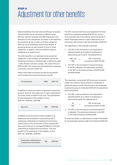# STEP 8 Adjustment for other benefits

Step 8 establishes the total other benefits per employee. These benefits can be calculated in different ways. We have used the example with 850 employees in the flowchart for the calculations. As shown in the flowchart, the personnel group is made up of three categories. After all, not all employees receive each benefit. A personnel group can also consist of more or fewer categories. In addition, there are different types of categories (e.g. position etc.).

The other benefits in are allocated to the personnel categories. In the example, all employees receive the following provisions: a Christmas gift, a staff party, gifts / cards / flowers and team outings. The costs of this are EUR 101,250. This means that the benefits per employee, in principle, amount to EUR 119.

Please note: these provisions are also for the benefit of the employees in personnel group A and B.

| All employees | (850) | <b>EUR 119</b> |
|---------------|-------|----------------|
|               |       |                |

In addition to these provisions, employees in personnel group A 'sporters' also make use of a sport subscription. The costs of this are EUR 417 per year. The total benefit for the employees in this category is thus EUR 119 + EUR 416 = EUR 536.

| Sporters | (180) | <b>EUR 536</b> |
|----------|-------|----------------|
|          |       |                |

In addition to the provisions made available to all employees, the employees in personnel group B 'employees celebrating an employment anniversary' receive a gift on the anniversary of their employment. The costs of this are on average EUR 800 per employee celebrating an employment anniversary. The total benefit for the employees in this category is thus EUR  $119 + EUR 800 = EUR 919$ .

Employees celebrating an employment anniversary (25) EUR <sup>919</sup>

The VAT recovered will have to be adjusted if the total benefit per employee exceeds EUR 227 per annum. In the example, this is the case for personnel group A and B. Employees without a sport subscription or an anniversary gift remain under the threshold of EUR 227.

The adjustment in this example is twofold:

1. The VAT on the provisions to all employees is adjusted insofar as it relates to employees in personnel group A and B. The adjustment is:

 $\frac{180 + 25}{850}$  × VAT on the total 850 provisions of EUR 101,250

2. The VAT on the provisions to personnel group A and B is adjusted. The adjustment amounts to the VAT on the total provisions of EUR 75,000 and EUR 20,000.

This calculation corrects the VAT previously recovered insofar as it relates to the provisions to employees in personnel group A and B. If the benefit to the employees in personnel group A is less than EUR 227, the adjustment will be as follows:

1. The VAT on the provisions to all employees is adjusted insofar as it relates to employees in personnel group B. The adjustment is:

| 25  | VAT on the total           |
|-----|----------------------------|
| 850 | vprovisions of EUR 101,250 |

2. The VAT on the provisions to personnel group B is adjusted. The adjustment amounts to the VAT on the total provisions of EUR 20,000.

To avoid any doubt: no adjustment is made if the benefit for all employees remains under the threshold of EUR 227.